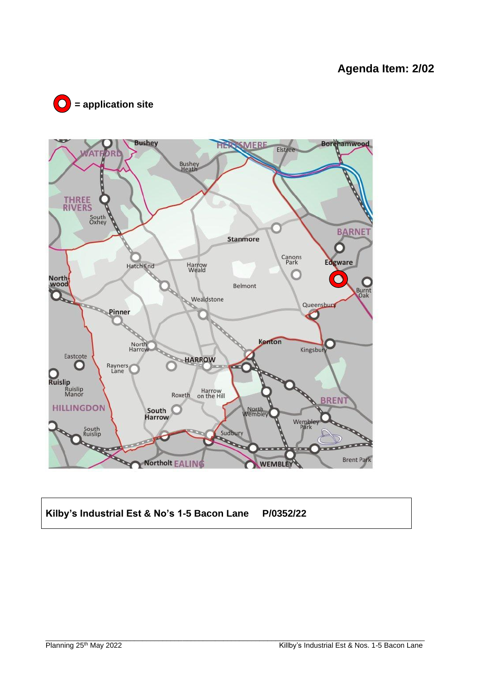



# **Kilby's Industrial Est & No's 1-5 Bacon Lane P/0352/22**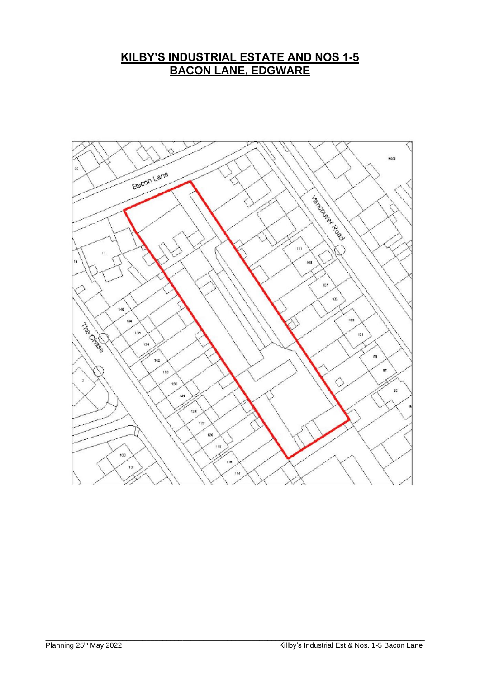# **KILBY'S INDUSTRIAL ESTATE AND NOS 1-5 BACON LANE, EDGWARE**

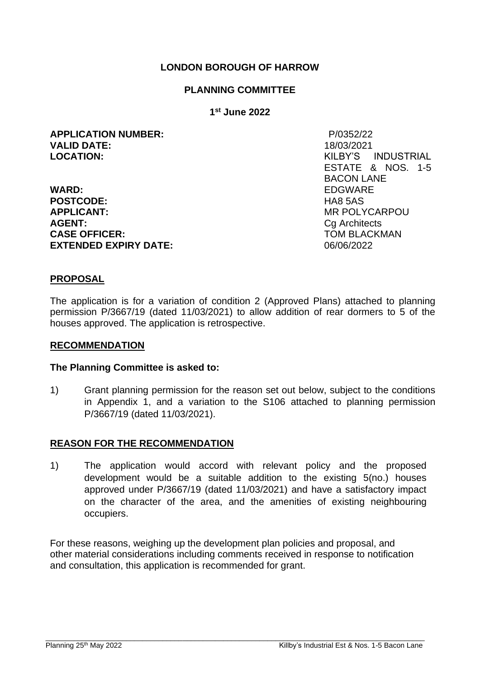# **LONDON BOROUGH OF HARROW**

#### **PLANNING COMMITTEE**

#### **1 st June 2022**

**APPLICATION NUMBER:** P/0352/22 **VALID DATE:** 18/03/2021 **LOCATION:** KILBY'S INDUSTRIAL

**WARD:** EDGWARE **POSTCODE:** HA8 5AS<br> **APPLICANT:** MR POLY **AGENT:** Ca Architects **CASE OFFICER:** TOM BLACKMAN **EXTENDED EXPIRY DATE:** 06/06/2022

ESTATE & NOS. 1-5 BACON LANE **APPLICANT:** MR POLYCARPOU

#### **PROPOSAL**

The application is for a variation of condition 2 (Approved Plans) attached to planning permission P/3667/19 (dated 11/03/2021) to allow addition of rear dormers to 5 of the houses approved. The application is retrospective.

#### **RECOMMENDATION**

#### **The Planning Committee is asked to:**

1) Grant planning permission for the reason set out below, subject to the conditions in Appendix 1, and a variation to the S106 attached to planning permission P/3667/19 (dated 11/03/2021).

# **REASON FOR THE RECOMMENDATION**

1) The application would accord with relevant policy and the proposed development would be a suitable addition to the existing 5(no.) houses approved under P/3667/19 (dated 11/03/2021) and have a satisfactory impact on the character of the area, and the amenities of existing neighbouring occupiers.

For these reasons, weighing up the development plan policies and proposal, and other material considerations including comments received in response to notification and consultation, this application is recommended for grant.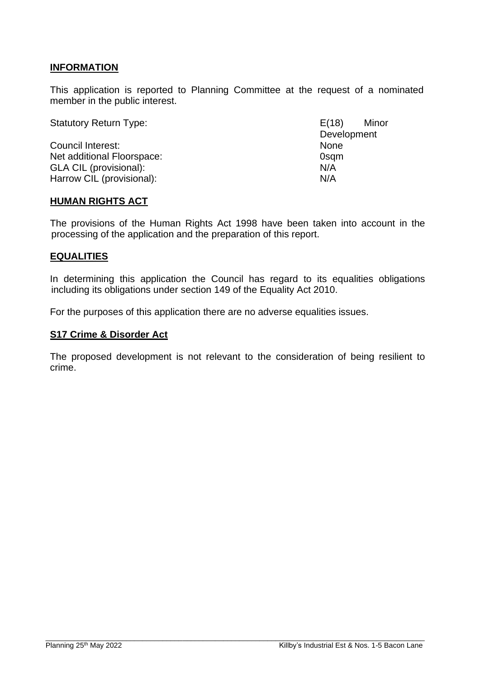# **INFORMATION**

This application is reported to Planning Committee at the request of a nominated member in the public interest.

Statutory Return Type: E(18) Minor

Council Interest: None Net additional Floorspace: 0sqm GLA CIL (provisional): N/A Harrow CIL (provisional): N/A

Development

#### **HUMAN RIGHTS ACT**

The provisions of the Human Rights Act 1998 have been taken into account in the processing of the application and the preparation of this report.

#### **EQUALITIES**

In determining this application the Council has regard to its equalities obligations including its obligations under section 149 of the Equality Act 2010.

For the purposes of this application there are no adverse equalities issues.

#### **S17 Crime & Disorder Act**

The proposed development is not relevant to the consideration of being resilient to crime.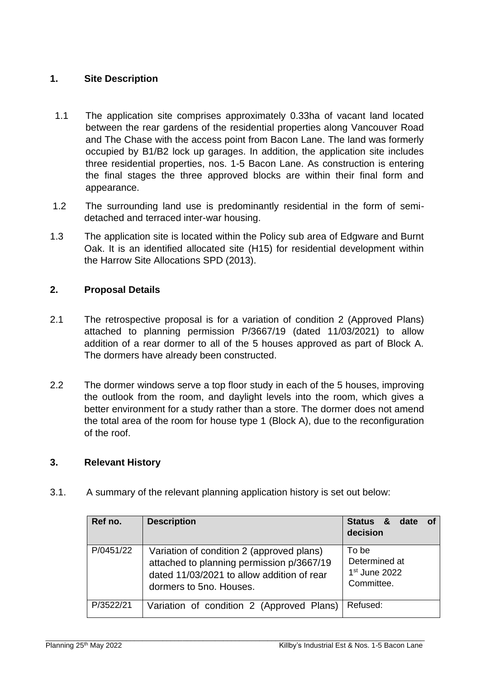# **1. Site Description**

- 1.1 The application site comprises approximately 0.33ha of vacant land located between the rear gardens of the residential properties along Vancouver Road and The Chase with the access point from Bacon Lane. The land was formerly occupied by B1/B2 lock up garages. In addition, the application site includes three residential properties, nos. 1-5 Bacon Lane. As construction is entering the final stages the three approved blocks are within their final form and appearance.
- 1.2 The surrounding land use is predominantly residential in the form of semidetached and terraced inter-war housing.
- 1.3 The application site is located within the Policy sub area of Edgware and Burnt Oak. It is an identified allocated site (H15) for residential development within the Harrow Site Allocations SPD (2013).

# **2. Proposal Details**

- 2.1 The retrospective proposal is for a variation of condition 2 (Approved Plans) attached to planning permission P/3667/19 (dated 11/03/2021) to allow addition of a rear dormer to all of the 5 houses approved as part of Block A. The dormers have already been constructed.
- 2.2 The dormer windows serve a top floor study in each of the 5 houses, improving the outlook from the room, and daylight levels into the room, which gives a better environment for a study rather than a store. The dormer does not amend the total area of the room for house type 1 (Block A), due to the reconfiguration of the roof.

# **3. Relevant History**

3.1. A summary of the relevant planning application history is set out below:

| Ref no.   | <b>Description</b>                                                                                                                                              | Status &<br>date<br>of<br>decision                       |
|-----------|-----------------------------------------------------------------------------------------------------------------------------------------------------------------|----------------------------------------------------------|
| P/0451/22 | Variation of condition 2 (approved plans)<br>attached to planning permission p/3667/19<br>dated 11/03/2021 to allow addition of rear<br>dormers to 5no. Houses. | To bel<br>Determined at<br>$1st$ June 2022<br>Committee. |
| P/3522/21 | Variation of condition 2 (Approved Plans)                                                                                                                       | Refused:                                                 |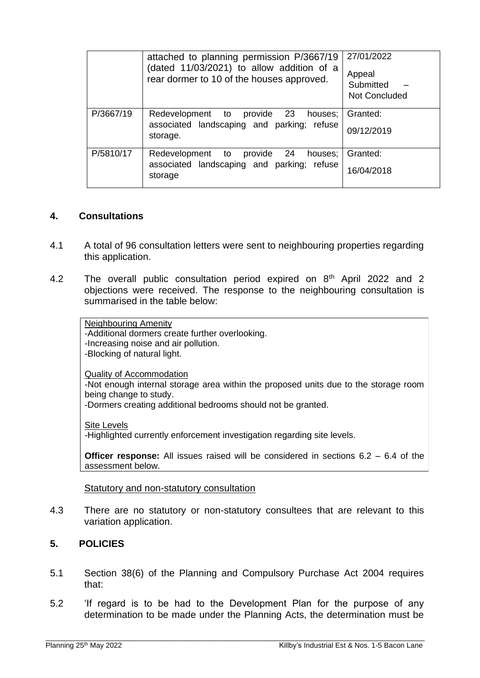|           | attached to planning permission P/3667/19<br>(dated 11/03/2021) to allow addition of a<br>rear dormer to 10 of the houses approved. | 27/01/2022<br>Appeal<br>Submitted<br><b>Not Concluded</b> |
|-----------|-------------------------------------------------------------------------------------------------------------------------------------|-----------------------------------------------------------|
| P/3667/19 | Redevelopment to provide 23<br>houses;<br>associated landscaping and parking; refuse<br>storage.                                    | Granted:<br>09/12/2019                                    |
| P/5810/17 | Redevelopment to provide 24 houses;<br>associated landscaping and parking; refuse<br>storage                                        | Granted:<br>16/04/2018                                    |

# **4. Consultations**

- 4.1 A total of 96 consultation letters were sent to neighbouring properties regarding this application.
- 4.2 The overall public consultation period expired on 8<sup>th</sup> April 2022 and 2 objections were received. The response to the neighbouring consultation is summarised in the table below:

Neighbouring Amenity -Additional dormers create further overlooking. -Increasing noise and air pollution. -Blocking of natural light.

Quality of Accommodation

-Not enough internal storage area within the proposed units due to the storage room being change to study.

-Dormers creating additional bedrooms should not be granted.

Site Levels

-Highlighted currently enforcement investigation regarding site levels.

**Officer response:** All issues raised will be considered in sections 6.2 – 6.4 of the assessment below.

#### Statutory and non-statutory consultation

4.3 There are no statutory or non-statutory consultees that are relevant to this variation application.

# **5. POLICIES**

- 5.1 Section 38(6) of the Planning and Compulsory Purchase Act 2004 requires that:
- 5.2 'If regard is to be had to the Development Plan for the purpose of any determination to be made under the Planning Acts, the determination must be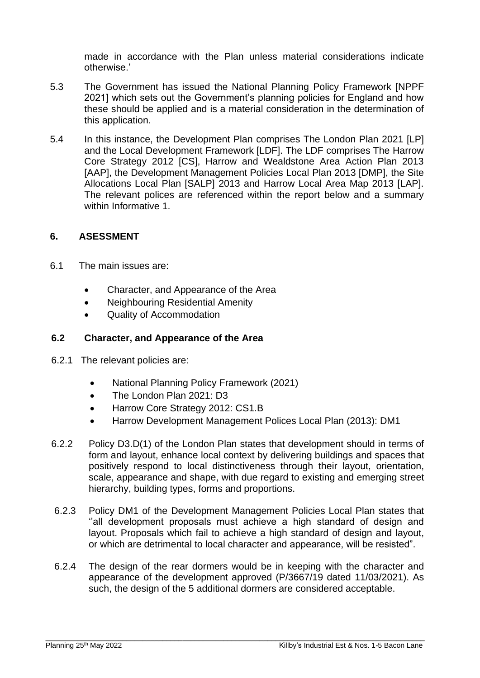made in accordance with the Plan unless material considerations indicate otherwise.'

- 5.3 The Government has issued the National Planning Policy Framework [NPPF 2021] which sets out the Government's planning policies for England and how these should be applied and is a material consideration in the determination of this application.
- 5.4 In this instance, the Development Plan comprises The London Plan 2021 [LP] and the Local Development Framework [LDF]. The LDF comprises The Harrow Core Strategy 2012 [CS], Harrow and Wealdstone Area Action Plan 2013 [AAP], the Development Management Policies Local Plan 2013 [DMP], the Site Allocations Local Plan [SALP] 2013 and Harrow Local Area Map 2013 [LAP]. The relevant polices are referenced within the report below and a summary within Informative 1.

# **6. ASESSMENT**

- 6.1 The main issues are:
	- Character, and Appearance of the Area
	- Neighbouring Residential Amenity
	- Quality of Accommodation

# **6.2 Character, and Appearance of the Area**

- 6.2.1The relevant policies are:
	- National Planning Policy Framework (2021)
	- The London Plan 2021: D3
	- Harrow Core Strategy 2012: CS1.B
	- Harrow Development Management Polices Local Plan (2013): DM1
- 6.2.2 Policy D3.D(1) of the London Plan states that development should in terms of form and layout, enhance local context by delivering buildings and spaces that positively respond to local distinctiveness through their layout, orientation, scale, appearance and shape, with due regard to existing and emerging street hierarchy, building types, forms and proportions.
- 6.2.3 Policy DM1 of the Development Management Policies Local Plan states that ''all development proposals must achieve a high standard of design and layout. Proposals which fail to achieve a high standard of design and layout, or which are detrimental to local character and appearance, will be resisted".
- 6.2.4 The design of the rear dormers would be in keeping with the character and appearance of the development approved (P/3667/19 dated 11/03/2021). As such, the design of the 5 additional dormers are considered acceptable.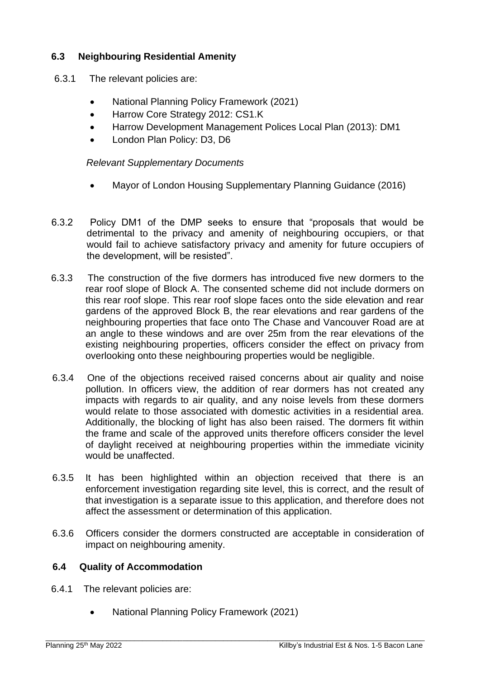# **6.3 Neighbouring Residential Amenity**

- 6.3.1The relevant policies are:
	- National Planning Policy Framework (2021)
	- Harrow Core Strategy 2012: CS1.K
	- Harrow Development Management Polices Local Plan (2013): DM1
	- London Plan Policy: D3, D6

*Relevant Supplementary Documents* 

- Mayor of London Housing Supplementary Planning Guidance (2016)
- 6.3.2 Policy DM1 of the DMP seeks to ensure that "proposals that would be detrimental to the privacy and amenity of neighbouring occupiers, or that would fail to achieve satisfactory privacy and amenity for future occupiers of the development, will be resisted".
- 6.3.3 The construction of the five dormers has introduced five new dormers to the rear roof slope of Block A. The consented scheme did not include dormers on this rear roof slope. This rear roof slope faces onto the side elevation and rear gardens of the approved Block B, the rear elevations and rear gardens of the neighbouring properties that face onto The Chase and Vancouver Road are at an angle to these windows and are over 25m from the rear elevations of the existing neighbouring properties, officers consider the effect on privacy from overlooking onto these neighbouring properties would be negligible.
- 6.3.4 One of the objections received raised concerns about air quality and noise pollution. In officers view, the addition of rear dormers has not created any impacts with regards to air quality, and any noise levels from these dormers would relate to those associated with domestic activities in a residential area. Additionally, the blocking of light has also been raised. The dormers fit within the frame and scale of the approved units therefore officers consider the level of daylight received at neighbouring properties within the immediate vicinity would be unaffected.
- 6.3.5 It has been highlighted within an objection received that there is an enforcement investigation regarding site level, this is correct, and the result of that investigation is a separate issue to this application, and therefore does not affect the assessment or determination of this application.
- 6.3.6 Officers consider the dormers constructed are acceptable in consideration of impact on neighbouring amenity.

\_\_\_\_\_\_\_\_\_\_\_\_\_\_\_\_\_\_\_\_\_\_\_\_\_\_\_\_\_\_\_\_\_\_\_\_\_\_\_\_\_\_\_\_\_\_\_\_\_\_\_\_\_\_\_\_\_\_\_\_\_\_\_\_\_\_\_\_\_\_\_\_\_\_\_\_\_\_\_\_\_\_\_\_\_\_\_\_\_\_\_\_\_\_

# **6.4 Quality of Accommodation**

- 6.4.1The relevant policies are:
	- National Planning Policy Framework (2021)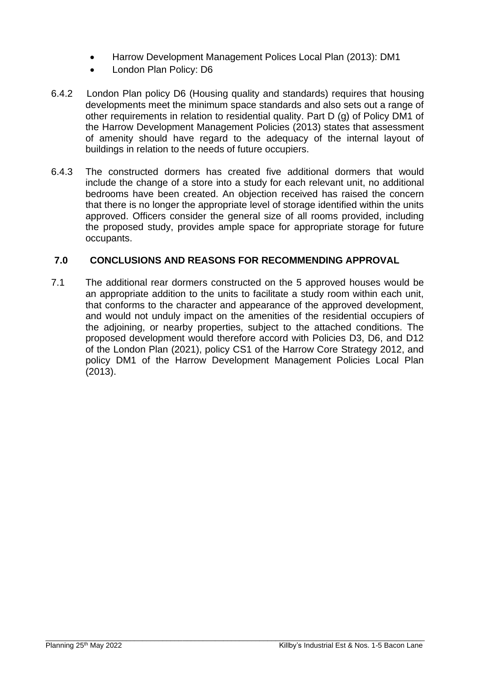- Harrow Development Management Polices Local Plan (2013): DM1
- London Plan Policy: D6
- 6.4.2London Plan policy D6 (Housing quality and standards) requires that housing developments meet the minimum space standards and also sets out a range of other requirements in relation to residential quality. Part D (g) of Policy DM1 of the Harrow Development Management Policies (2013) states that assessment of amenity should have regard to the adequacy of the internal layout of buildings in relation to the needs of future occupiers.
- 6.4.3 The constructed dormers has created five additional dormers that would include the change of a store into a study for each relevant unit, no additional bedrooms have been created. An objection received has raised the concern that there is no longer the appropriate level of storage identified within the units approved. Officers consider the general size of all rooms provided, including the proposed study, provides ample space for appropriate storage for future occupants.

# **7.0 CONCLUSIONS AND REASONS FOR RECOMMENDING APPROVAL**

7.1 The additional rear dormers constructed on the 5 approved houses would be an appropriate addition to the units to facilitate a study room within each unit, that conforms to the character and appearance of the approved development, and would not unduly impact on the amenities of the residential occupiers of the adjoining, or nearby properties, subject to the attached conditions. The proposed development would therefore accord with Policies D3, D6, and D12 of the London Plan (2021), policy CS1 of the Harrow Core Strategy 2012, and policy DM1 of the Harrow Development Management Policies Local Plan (2013).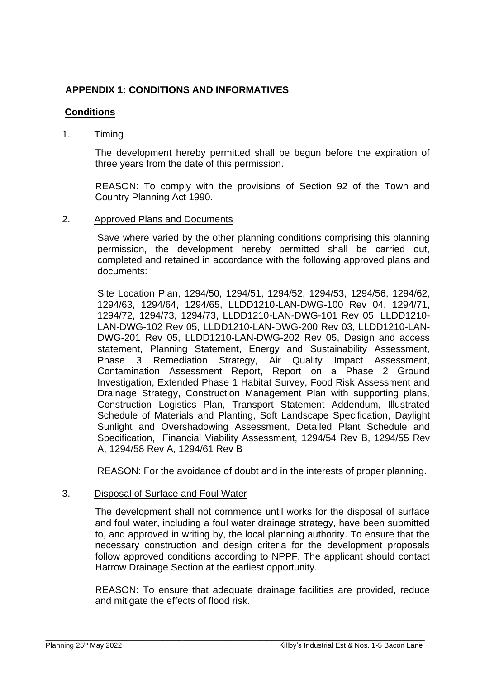# **APPENDIX 1: CONDITIONS AND INFORMATIVES**

# **Conditions**

# 1. Timing

The development hereby permitted shall be begun before the expiration of three years from the date of this permission.

REASON: To comply with the provisions of Section 92 of the Town and Country Planning Act 1990.

#### 2. Approved Plans and Documents

Save where varied by the other planning conditions comprising this planning permission, the development hereby permitted shall be carried out, completed and retained in accordance with the following approved plans and documents:

Site Location Plan, 1294/50, 1294/51, 1294/52, 1294/53, 1294/56, 1294/62, 1294/63, 1294/64, 1294/65, LLDD1210-LAN-DWG-100 Rev 04, 1294/71, 1294/72, 1294/73, 1294/73, LLDD1210-LAN-DWG-101 Rev 05, LLDD1210- LAN-DWG-102 Rev 05, LLDD1210-LAN-DWG-200 Rev 03, LLDD1210-LAN-DWG-201 Rev 05, LLDD1210-LAN-DWG-202 Rev 05, Design and access statement, Planning Statement, Energy and Sustainability Assessment, Phase 3 Remediation Strategy, Air Quality Impact Assessment, Contamination Assessment Report, Report on a Phase 2 Ground Investigation, Extended Phase 1 Habitat Survey, Food Risk Assessment and Drainage Strategy, Construction Management Plan with supporting plans, Construction Logistics Plan, Transport Statement Addendum, Illustrated Schedule of Materials and Planting, Soft Landscape Specification, Daylight Sunlight and Overshadowing Assessment, Detailed Plant Schedule and Specification, Financial Viability Assessment, 1294/54 Rev B, 1294/55 Rev A, 1294/58 Rev A, 1294/61 Rev B

REASON: For the avoidance of doubt and in the interests of proper planning.

# 3. Disposal of Surface and Foul Water

The development shall not commence until works for the disposal of surface and foul water, including a foul water drainage strategy, have been submitted to, and approved in writing by, the local planning authority. To ensure that the necessary construction and design criteria for the development proposals follow approved conditions according to NPPF. The applicant should contact Harrow Drainage Section at the earliest opportunity.

REASON: To ensure that adequate drainage facilities are provided, reduce and mitigate the effects of flood risk.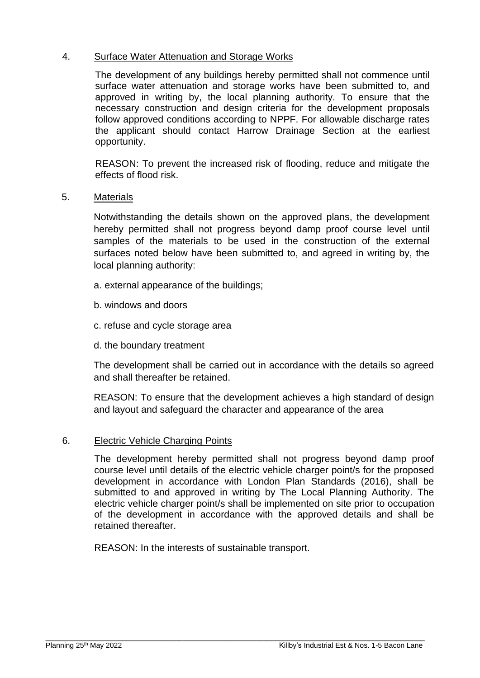# 4. Surface Water Attenuation and Storage Works

The development of any buildings hereby permitted shall not commence until surface water attenuation and storage works have been submitted to, and approved in writing by, the local planning authority. To ensure that the necessary construction and design criteria for the development proposals follow approved conditions according to NPPF. For allowable discharge rates the applicant should contact Harrow Drainage Section at the earliest opportunity.

REASON: To prevent the increased risk of flooding, reduce and mitigate the effects of flood risk.

# 5. Materials

Notwithstanding the details shown on the approved plans, the development hereby permitted shall not progress beyond damp proof course level until samples of the materials to be used in the construction of the external surfaces noted below have been submitted to, and agreed in writing by, the local planning authority:

- a. external appearance of the buildings;
- b. windows and doors
- c. refuse and cycle storage area
- d. the boundary treatment

The development shall be carried out in accordance with the details so agreed and shall thereafter be retained.

REASON: To ensure that the development achieves a high standard of design and layout and safeguard the character and appearance of the area

# 6. Electric Vehicle Charging Points

The development hereby permitted shall not progress beyond damp proof course level until details of the electric vehicle charger point/s for the proposed development in accordance with London Plan Standards (2016), shall be submitted to and approved in writing by The Local Planning Authority. The electric vehicle charger point/s shall be implemented on site prior to occupation of the development in accordance with the approved details and shall be retained thereafter.

REASON: In the interests of sustainable transport.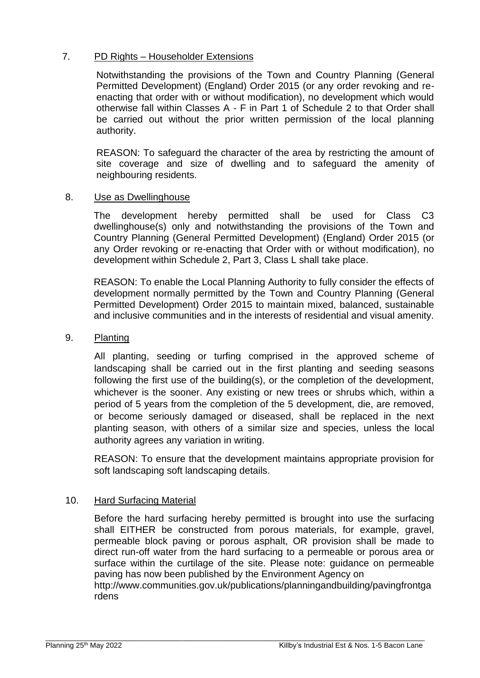# 7. PD Rights – Householder Extensions

Notwithstanding the provisions of the Town and Country Planning (General Permitted Development) (England) Order 2015 (or any order revoking and reenacting that order with or without modification), no development which would otherwise fall within Classes A - F in Part 1 of Schedule 2 to that Order shall be carried out without the prior written permission of the local planning authority.

REASON: To safeguard the character of the area by restricting the amount of site coverage and size of dwelling and to safeguard the amenity of neighbouring residents.

# 8. Use as Dwellinghouse

The development hereby permitted shall be used for Class C3 dwellinghouse(s) only and notwithstanding the provisions of the Town and Country Planning (General Permitted Development) (England) Order 2015 (or any Order revoking or re-enacting that Order with or without modification), no development within Schedule 2, Part 3, Class L shall take place.

REASON: To enable the Local Planning Authority to fully consider the effects of development normally permitted by the Town and Country Planning (General Permitted Development) Order 2015 to maintain mixed, balanced, sustainable and inclusive communities and in the interests of residential and visual amenity.

#### 9. Planting

All planting, seeding or turfing comprised in the approved scheme of landscaping shall be carried out in the first planting and seeding seasons following the first use of the building(s), or the completion of the development, whichever is the sooner. Any existing or new trees or shrubs which, within a period of 5 years from the completion of the 5 development, die, are removed, or become seriously damaged or diseased, shall be replaced in the next planting season, with others of a similar size and species, unless the local authority agrees any variation in writing.

REASON: To ensure that the development maintains appropriate provision for soft landscaping soft landscaping details.

# 10. Hard Surfacing Material

Before the hard surfacing hereby permitted is brought into use the surfacing shall EITHER be constructed from porous materials, for example, gravel, permeable block paving or porous asphalt, OR provision shall be made to direct run-off water from the hard surfacing to a permeable or porous area or surface within the curtilage of the site. Please note: guidance on permeable paving has now been published by the Environment Agency on

http://www.communities.gov.uk/publications/planningandbuilding/pavingfrontga rdens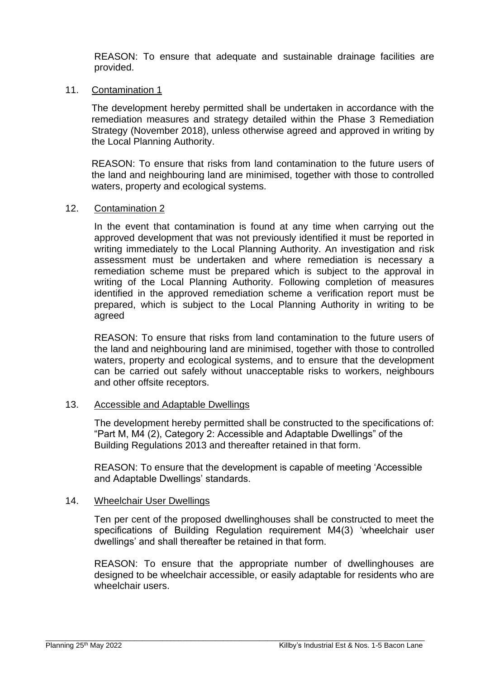REASON: To ensure that adequate and sustainable drainage facilities are provided.

#### 11. Contamination 1

The development hereby permitted shall be undertaken in accordance with the remediation measures and strategy detailed within the Phase 3 Remediation Strategy (November 2018), unless otherwise agreed and approved in writing by the Local Planning Authority.

REASON: To ensure that risks from land contamination to the future users of the land and neighbouring land are minimised, together with those to controlled waters, property and ecological systems.

#### 12. Contamination 2

In the event that contamination is found at any time when carrying out the approved development that was not previously identified it must be reported in writing immediately to the Local Planning Authority. An investigation and risk assessment must be undertaken and where remediation is necessary a remediation scheme must be prepared which is subject to the approval in writing of the Local Planning Authority. Following completion of measures identified in the approved remediation scheme a verification report must be prepared, which is subject to the Local Planning Authority in writing to be agreed

REASON: To ensure that risks from land contamination to the future users of the land and neighbouring land are minimised, together with those to controlled waters, property and ecological systems, and to ensure that the development can be carried out safely without unacceptable risks to workers, neighbours and other offsite receptors.

#### 13. Accessible and Adaptable Dwellings

The development hereby permitted shall be constructed to the specifications of: "Part M, M4 (2), Category 2: Accessible and Adaptable Dwellings" of the Building Regulations 2013 and thereafter retained in that form.

REASON: To ensure that the development is capable of meeting 'Accessible and Adaptable Dwellings' standards.

#### 14. Wheelchair User Dwellings

Ten per cent of the proposed dwellinghouses shall be constructed to meet the specifications of Building Regulation requirement M4(3) 'wheelchair user dwellings' and shall thereafter be retained in that form.

REASON: To ensure that the appropriate number of dwellinghouses are designed to be wheelchair accessible, or easily adaptable for residents who are wheelchair users.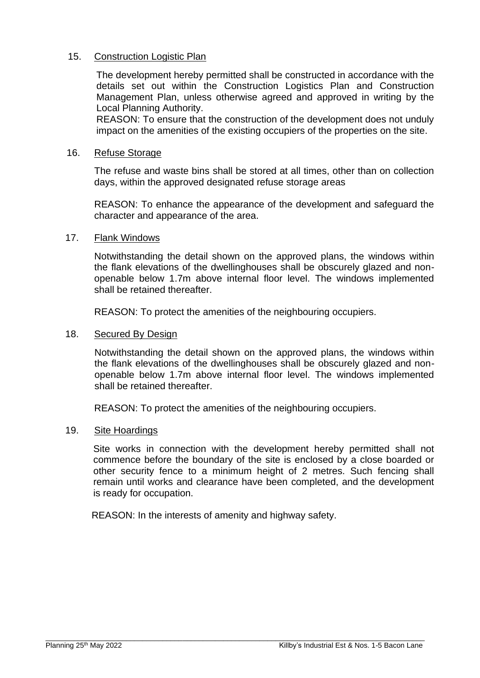# 15. Construction Logistic Plan

The development hereby permitted shall be constructed in accordance with the details set out within the Construction Logistics Plan and Construction Management Plan, unless otherwise agreed and approved in writing by the Local Planning Authority.

REASON: To ensure that the construction of the development does not unduly impact on the amenities of the existing occupiers of the properties on the site.

#### 16. Refuse Storage

The refuse and waste bins shall be stored at all times, other than on collection days, within the approved designated refuse storage areas

REASON: To enhance the appearance of the development and safeguard the character and appearance of the area.

#### 17. Flank Windows

Notwithstanding the detail shown on the approved plans, the windows within the flank elevations of the dwellinghouses shall be obscurely glazed and nonopenable below 1.7m above internal floor level. The windows implemented shall be retained thereafter.

REASON: To protect the amenities of the neighbouring occupiers.

#### 18. Secured By Design

Notwithstanding the detail shown on the approved plans, the windows within the flank elevations of the dwellinghouses shall be obscurely glazed and nonopenable below 1.7m above internal floor level. The windows implemented shall be retained thereafter.

REASON: To protect the amenities of the neighbouring occupiers.

# 19. Site Hoardings

Site works in connection with the development hereby permitted shall not commence before the boundary of the site is enclosed by a close boarded or other security fence to a minimum height of 2 metres. Such fencing shall remain until works and clearance have been completed, and the development is ready for occupation.

REASON: In the interests of amenity and highway safety.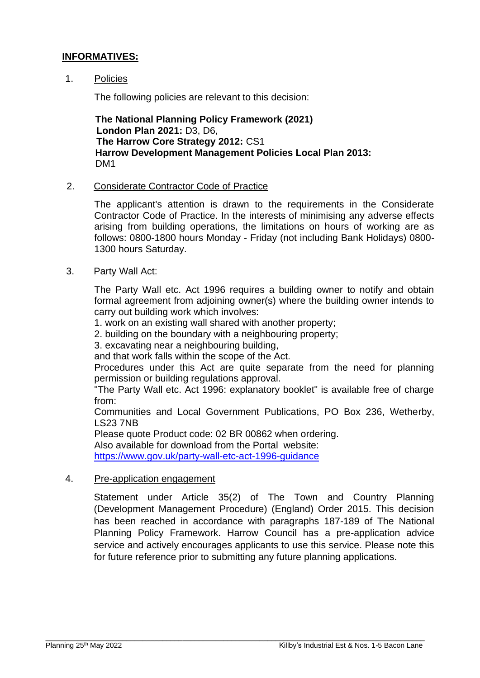# **INFORMATIVES:**

#### 1. Policies

The following policies are relevant to this decision:

**The National Planning Policy Framework (2021) London Plan 2021:** D3, D6, **The Harrow Core Strategy 2012:** CS1 **Harrow Development Management Policies Local Plan 2013:**  DM1

#### 2. Considerate Contractor Code of Practice

The applicant's attention is drawn to the requirements in the Considerate Contractor Code of Practice. In the interests of minimising any adverse effects arising from building operations, the limitations on hours of working are as follows: 0800-1800 hours Monday - Friday (not including Bank Holidays) 0800- 1300 hours Saturday.

#### 3. Party Wall Act:

The Party Wall etc. Act 1996 requires a building owner to notify and obtain formal agreement from adjoining owner(s) where the building owner intends to carry out building work which involves:

1. work on an existing wall shared with another property;

2. building on the boundary with a neighbouring property;

3. excavating near a neighbouring building,

and that work falls within the scope of the Act.

Procedures under this Act are quite separate from the need for planning permission or building regulations approval.

"The Party Wall etc. Act 1996: explanatory booklet" is available free of charge from:

Communities and Local Government Publications, PO Box 236, Wetherby, LS23 7NB

Please quote Product code: 02 BR 00862 when ordering.

Also available for download from the Portal website:

<https://www.gov.uk/party-wall-etc-act-1996-guidance>

#### 4. Pre-application engagement

Statement under Article 35(2) of The Town and Country Planning (Development Management Procedure) (England) Order 2015. This decision has been reached in accordance with paragraphs 187-189 of The National Planning Policy Framework. Harrow Council has a pre-application advice service and actively encourages applicants to use this service. Please note this for future reference prior to submitting any future planning applications.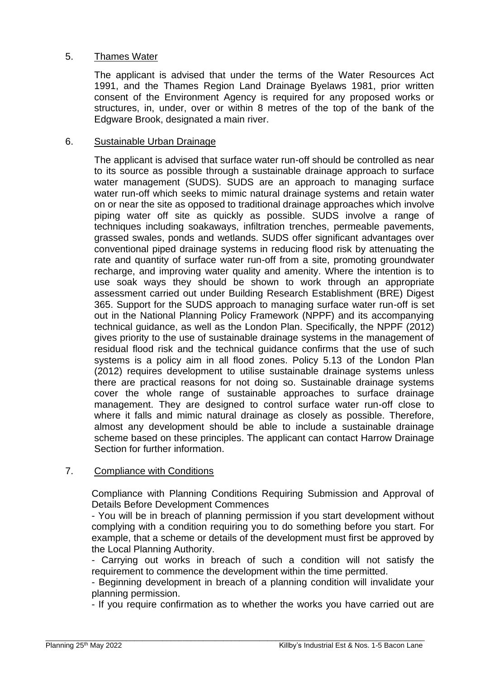# 5. Thames Water

The applicant is advised that under the terms of the Water Resources Act 1991, and the Thames Region Land Drainage Byelaws 1981, prior written consent of the Environment Agency is required for any proposed works or structures, in, under, over or within 8 metres of the top of the bank of the Edgware Brook, designated a main river.

# 6. Sustainable Urban Drainage

The applicant is advised that surface water run-off should be controlled as near to its source as possible through a sustainable drainage approach to surface water management (SUDS). SUDS are an approach to managing surface water run-off which seeks to mimic natural drainage systems and retain water on or near the site as opposed to traditional drainage approaches which involve piping water off site as quickly as possible. SUDS involve a range of techniques including soakaways, infiltration trenches, permeable pavements, grassed swales, ponds and wetlands. SUDS offer significant advantages over conventional piped drainage systems in reducing flood risk by attenuating the rate and quantity of surface water run-off from a site, promoting groundwater recharge, and improving water quality and amenity. Where the intention is to use soak ways they should be shown to work through an appropriate assessment carried out under Building Research Establishment (BRE) Digest 365. Support for the SUDS approach to managing surface water run-off is set out in the National Planning Policy Framework (NPPF) and its accompanying technical guidance, as well as the London Plan. Specifically, the NPPF (2012) gives priority to the use of sustainable drainage systems in the management of residual flood risk and the technical guidance confirms that the use of such systems is a policy aim in all flood zones. Policy 5.13 of the London Plan (2012) requires development to utilise sustainable drainage systems unless there are practical reasons for not doing so. Sustainable drainage systems cover the whole range of sustainable approaches to surface drainage management. They are designed to control surface water run-off close to where it falls and mimic natural drainage as closely as possible. Therefore, almost any development should be able to include a sustainable drainage scheme based on these principles. The applicant can contact Harrow Drainage Section for further information.

# 7. Compliance with Conditions

Compliance with Planning Conditions Requiring Submission and Approval of Details Before Development Commences

- You will be in breach of planning permission if you start development without complying with a condition requiring you to do something before you start. For example, that a scheme or details of the development must first be approved by the Local Planning Authority.

- Carrying out works in breach of such a condition will not satisfy the requirement to commence the development within the time permitted.

- Beginning development in breach of a planning condition will invalidate your planning permission.

- If you require confirmation as to whether the works you have carried out are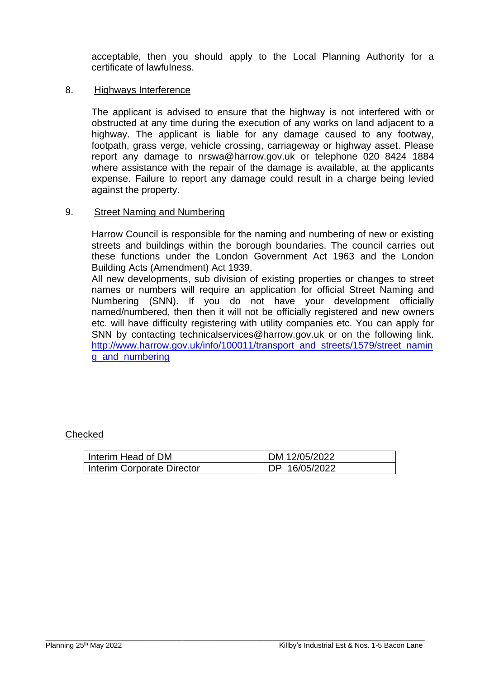acceptable, then you should apply to the Local Planning Authority for a certificate of lawfulness.

#### 8. Highways Interference

The applicant is advised to ensure that the highway is not interfered with or obstructed at any time during the execution of any works on land adjacent to a highway. The applicant is liable for any damage caused to any footway, footpath, grass verge, vehicle crossing, carriageway or highway asset. Please report any damage to nrswa@harrow.gov.uk or telephone 020 8424 1884 where assistance with the repair of the damage is available, at the applicants expense. Failure to report any damage could result in a charge being levied against the property.

#### 9. Street Naming and Numbering

Harrow Council is responsible for the naming and numbering of new or existing streets and buildings within the borough boundaries. The council carries out these functions under the London Government Act 1963 and the London Building Acts (Amendment) Act 1939.

All new developments, sub division of existing properties or changes to street names or numbers will require an application for official Street Naming and Numbering (SNN). If you do not have your development officially named/numbered, then then it will not be officially registered and new owners etc. will have difficulty registering with utility companies etc. You can apply for SNN by contacting technicalservices@harrow.gov.uk or on the following link. [http://www.harrow.gov.uk/info/100011/transport\\_and\\_streets/1579/street\\_namin](http://www.harrow.gov.uk/info/100011/transport_and_streets/1579/street_naming_and_numbering) g and numbering

# **Checked**

| Interim Head of DM         | DM 12/05/2022 |
|----------------------------|---------------|
| Interim Corporate Director | DP 16/05/2022 |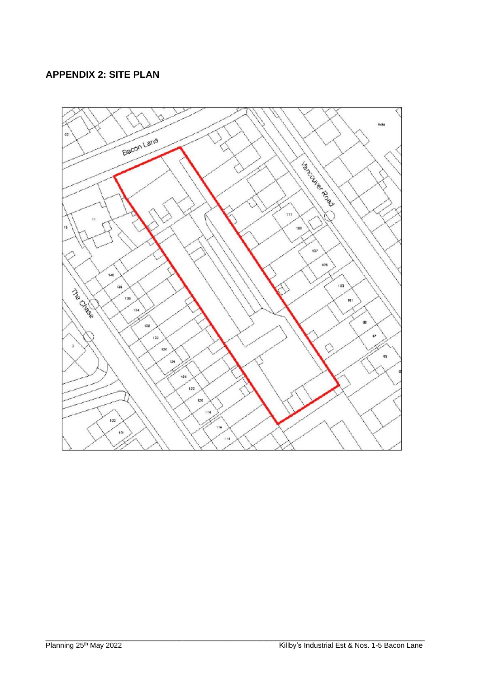# **APPENDIX 2: SITE PLAN**

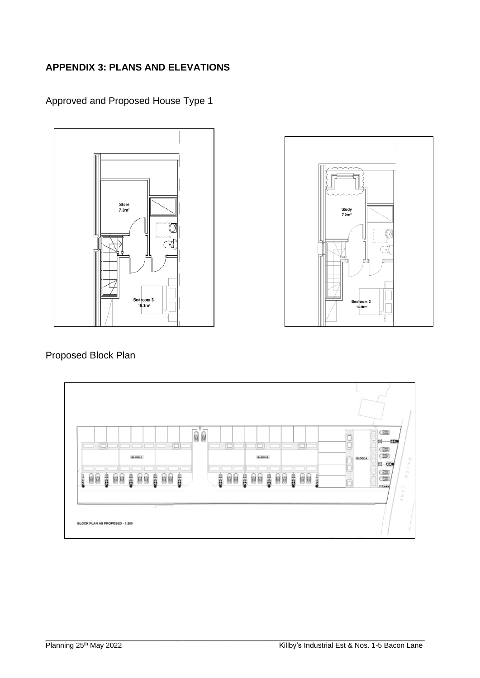# **APPENDIX 3: PLANS AND ELEVATIONS**

Approved and Proposed House Type 1





# Proposed Block Plan

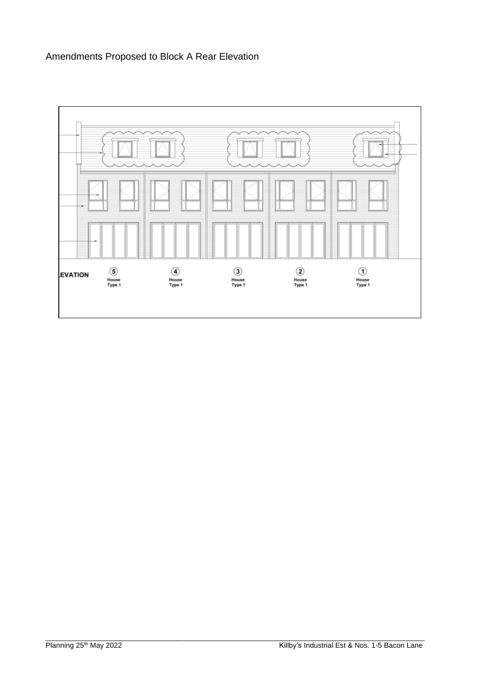